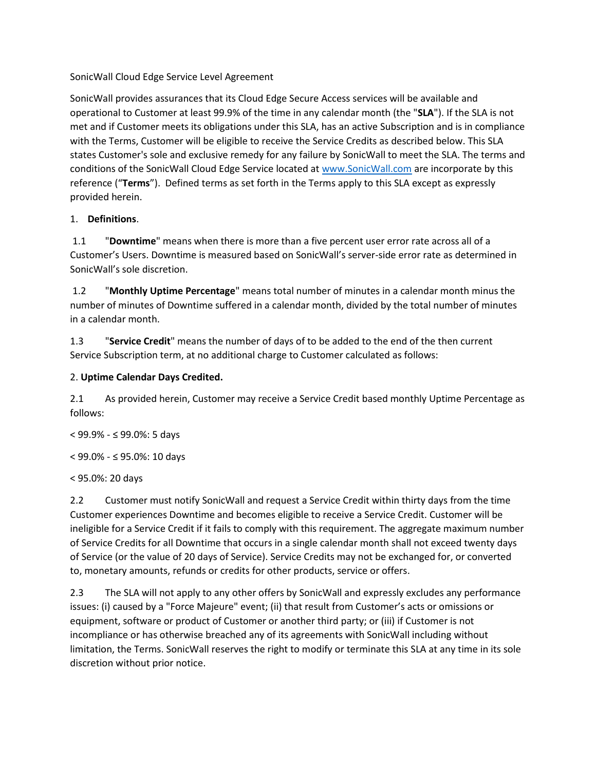## SonicWall Cloud Edge Service Level Agreement

SonicWall provides assurances that its Cloud Edge Secure Access services will be available and operational to Customer at least 99.9% of the time in any calendar month (the "**SLA**"). If the SLA is not met and if Customer meets its obligations under this SLA, has an active Subscription and is in compliance with the Terms, Customer will be eligible to receive the Service Credits as described below. This SLA states Customer's sole and exclusive remedy for any failure by SonicWall to meet the SLA. The terms and conditions of the SonicWall Cloud Edge Service located a[t www.SonicWall.com](http://www.sonicwall.com/) are incorporate by this reference ("**Terms**"). Defined terms as set forth in the Terms apply to this SLA except as expressly provided herein.

## 1. **Definitions**.

1.1 "**Downtime**" means when there is more than a five percent user error rate across all of a Customer's Users. Downtime is measured based on SonicWall's server-side error rate as determined in SonicWall's sole discretion.

1.2 "**Monthly Uptime Percentage**" means total number of minutes in a calendar month minus the number of minutes of Downtime suffered in a calendar month, divided by the total number of minutes in a calendar month.

1.3 "**Service Credit**" means the number of days of to be added to the end of the then current Service Subscription term, at no additional charge to Customer calculated as follows:

## 2. **Uptime Calendar Days Credited.**

2.1 As provided herein, Customer may receive a Service Credit based monthly Uptime Percentage as follows:

< 99.9% - ≤ 99.0%: 5 days

< 99.0% - ≤ 95.0%: 10 days

< 95.0%: 20 days

2.2 Customer must notify SonicWall and request a Service Credit within thirty days from the time Customer experiences Downtime and becomes eligible to receive a Service Credit. Customer will be ineligible for a Service Credit if it fails to comply with this requirement. The aggregate maximum number of Service Credits for all Downtime that occurs in a single calendar month shall not exceed twenty days of Service (or the value of 20 days of Service). Service Credits may not be exchanged for, or converted to, monetary amounts, refunds or credits for other products, service or offers.

2.3 The SLA will not apply to any other offers by SonicWall and expressly excludes any performance issues: (i) caused by a "Force Majeure" event; (ii) that result from Customer's acts or omissions or equipment, software or product of Customer or another third party; or (iii) if Customer is not incompliance or has otherwise breached any of its agreements with SonicWall including without limitation, the Terms. SonicWall reserves the right to modify or terminate this SLA at any time in its sole discretion without prior notice.